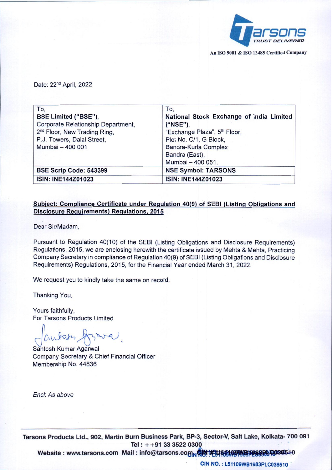

An ISO 9001 & ISO 13485 Certified Company

Date: 22<sup>nd</sup> April, 2022

| To.                                      | To,                                      |
|------------------------------------------|------------------------------------------|
| BSE Limited ("BSE"),                     | National Stock Exchange of India Limited |
| Corporate Relationship Department,       | ("NSE")                                  |
| 2 <sup>nd</sup> Floor, New Trading Ring, | "Exchange Plaza", 5 <sup>th</sup> Floor, |
| P.J. Towers, Dalal Street,               | Plot No. C/1, G Block,                   |
| Mumbai - 400 001.                        | Bandra-Kurla Complex                     |
|                                          | Bandra (East),                           |
|                                          | Mumbai - 400 051.                        |
| BSE Scrip Code: 543399                   | <b>NSE Symbol: TARSONS</b>               |
| ISIN: INE144Z01023                       | ISIN: INE144Z01023                       |

## Subject: Compliance Certificate under Regulation 40(9) of SEBI (Listing Obligations and Disclosure Requirements) Regulations, 2015

Dear Sir/Madam,

Pursuant to Regulation 40(10) of the SEBI (Listing Obligations and Disclosure Requirements) Regulations, 2015, we are enclosing herewith the certificate issued by Mehta & Mehta, Practicing Company Secretary in compliance of Regulation 40(9) of SEBI (Listing Obligations and Disclosure Requirements) Regulations, 2015, for the Financial Year ended March 31,2022.

We request you to kindly take the same on record.

Thanking You,

Yours faithfully, For Tarsons Products Limited

J*fA~)'-,* )(sl*"-v-V .*

Santosh Kumar Agarwal Company Secretary & Chief Financial Officer Membership No. 44836

*Enel: As above*

Tarsons Products Ltd., 902, Martin Burn Business Park, BP-3, Sector-V, Salt Lake, Kolkata- 700 091 Tel:  $+ +91$  33 3522 0300

Website: www.tarsons.com Mail: info@tarsons.com Natheller Managet 10